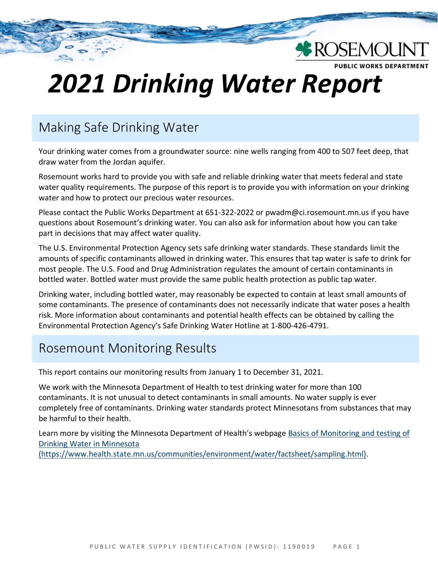# **UBLIC WORKS DEPARTMENT** *2021 Drinking Water Report*

**\*ROSEMOUN** 

# Making Safe Drinking Water

Your drinking water comes from a groundwater source: nine wells ranging from 400 to 507 feet deep, that draw water from the Jordan aquifer.

Rosemount works hard to provide you with safe and reliable drinking water that meets federal and state water quality requirements. The purpose of this report is to provide you with information on your drinking water and how to protect our precious water resources.

Please contact the Public Works Department at 651-322-2022 or pwadm@ci.rosemount.mn.us if you have questions about Rosemount's drinking water. You can also ask for information about how you can take part in decisions that may affect water quality.

The U.S. Environmental Protection Agency sets safe drinking water standards. These standards limit the amounts of specific contaminants allowed in drinking water. This ensures that tap water is safe to drink for most people. The U.S. Food and Drug Administration regulates the amount of certain contaminants in bottled water. Bottled water must provide the same public health protection as public tap water.

Drinking water, including bottled water, may reasonably be expected to contain at least small amounts of some contaminants. The presence of contaminants does not necessarily indicate that water poses a health risk. More information about contaminants and potential health effects can be obtained by calling the Environmental Protection Agency's Safe Drinking Water Hotline at 1-800-426-4791.

## Rosemount Monitoring Results

This report contains our monitoring results from January 1 to December 31, 2021.

We work with the Minnesota Department of Health to test drinking water for more than 100 contaminants. It is not unusual to detect contaminants in small amounts. No water supply is ever completely free of contaminants. Drinking water standards protect Minnesotans from substances that may be harmful to their health.

Learn more by visiting the Minnesota Department of Health's webpage [Basics of Monitoring and testing of](https://www.health.state.mn.us/communities/environment/water/factsheet/sampling.html)  [Drinking Water in Minnesota](https://www.health.state.mn.us/communities/environment/water/factsheet/sampling.html) 

[\(https://www.health.state.mn.us/communities/environment/water/factsheet/sampling.html\).](https://www.health.state.mn.us/communities/environment/water/factsheet/sampling.html)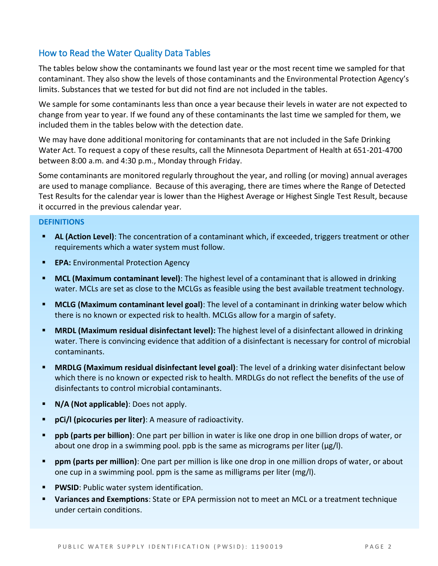## How to Read the Water Quality Data Tables

The tables below show the contaminants we found last year or the most recent time we sampled for that contaminant. They also show the levels of those contaminants and the Environmental Protection Agency's limits. Substances that we tested for but did not find are not included in the tables.

We sample for some contaminants less than once a year because their levels in water are not expected to change from year to year. If we found any of these contaminants the last time we sampled for them, we included them in the tables below with the detection date.

We may have done additional monitoring for contaminants that are not included in the Safe Drinking Water Act. To request a copy of these results, call the Minnesota Department of Health at 651-201-4700 between 8:00 a.m. and 4:30 p.m., Monday through Friday.

Some contaminants are monitored regularly throughout the year, and rolling (or moving) annual averages are used to manage compliance. Because of this averaging, there are times where the Range of Detected Test Results for the calendar year is lower than the Highest Average or Highest Single Test Result, because it occurred in the previous calendar year.

#### **DEFINITIONS**

- **EXECT AL (Action Level):** The concentration of a contaminant which, if exceeded, triggers treatment or other requirements which a water system must follow.
- **EPA:** Environmental Protection Agency
- **MCL (Maximum contaminant level)**: The highest level of a contaminant that is allowed in drinking water. MCLs are set as close to the MCLGs as feasible using the best available treatment technology.
- **MCLG (Maximum contaminant level goal)**: The level of a contaminant in drinking water below which there is no known or expected risk to health. MCLGs allow for a margin of safety.
- **EXTED MRDL (Maximum residual disinfectant level):** The highest level of a disinfectant allowed in drinking water. There is convincing evidence that addition of a disinfectant is necessary for control of microbial contaminants.
- **EXTED MRDLG (Maximum residual disinfectant level goal)**: The level of a drinking water disinfectant below which there is no known or expected risk to health. MRDLGs do not reflect the benefits of the use of disinfectants to control microbial contaminants.
- **N/A (Not applicable)**: Does not apply.
- **pCi/l (picocuries per liter)**: A measure of radioactivity.
- **ppb (parts per billion)**: One part per billion in water is like one drop in one billion drops of water, or about one drop in a swimming pool. ppb is the same as micrograms per liter ( $\mu$ g/l).
- **ppm (parts per million)**: One part per million is like one drop in one million drops of water, or about one cup in a swimming pool. ppm is the same as milligrams per liter (mg/l).
- **PWSID: Public water system identification.**
- **Variances and Exemptions**: State or EPA permission not to meet an MCL or a treatment technique under certain conditions.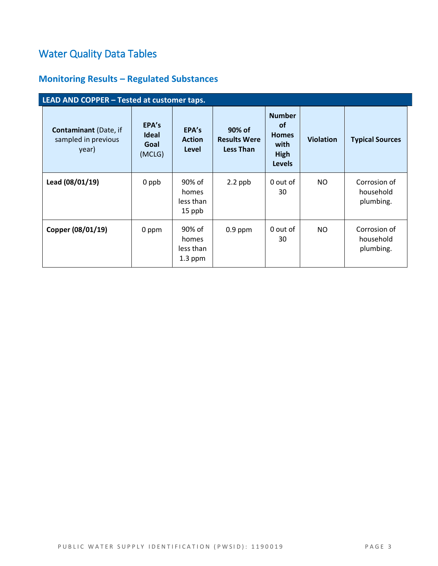# Water Quality Data Tables

## **Monitoring Results – Regulated Substances**

| LEAD AND COPPER - Tested at customer taps.                   |                                         |                                           |                                                   |                                                                                    |                  |                                        |
|--------------------------------------------------------------|-----------------------------------------|-------------------------------------------|---------------------------------------------------|------------------------------------------------------------------------------------|------------------|----------------------------------------|
| <b>Contaminant</b> (Date, if<br>sampled in previous<br>year) | EPA's<br><b>Ideal</b><br>Goal<br>(MCLG) | EPA's<br><b>Action</b><br>Level           | 90% of<br><b>Results Were</b><br><b>Less Than</b> | <b>Number</b><br><b>of</b><br><b>Homes</b><br>with<br><b>High</b><br><b>Levels</b> | <b>Violation</b> | <b>Typical Sources</b>                 |
| Lead (08/01/19)                                              | 0 ppb                                   | 90% of<br>homes<br>less than<br>15 ppb    | $2.2$ ppb                                         | 0 out of<br>30                                                                     | NO.              | Corrosion of<br>household<br>plumbing. |
| Copper (08/01/19)                                            | 0 ppm                                   | 90% of<br>homes<br>less than<br>$1.3$ ppm | $0.9$ ppm                                         | 0 out of<br>30                                                                     | NO.              | Corrosion of<br>household<br>plumbing. |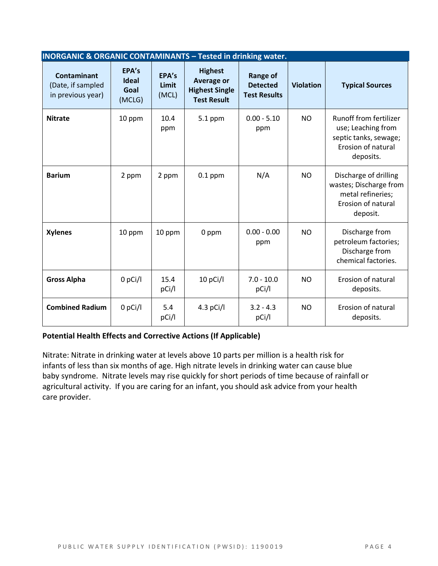| <b>INORGANIC &amp; ORGANIC CONTAMINANTS - Tested in drinking water.</b> |                                         |                         |                                                                                    |                                                           |                  |                                                                                                          |
|-------------------------------------------------------------------------|-----------------------------------------|-------------------------|------------------------------------------------------------------------------------|-----------------------------------------------------------|------------------|----------------------------------------------------------------------------------------------------------|
| <b>Contaminant</b><br>(Date, if sampled<br>in previous year)            | EPA's<br><b>Ideal</b><br>Goal<br>(MCLG) | EPA's<br>Limit<br>(MCL) | <b>Highest</b><br><b>Average or</b><br><b>Highest Single</b><br><b>Test Result</b> | <b>Range of</b><br><b>Detected</b><br><b>Test Results</b> | <b>Violation</b> | <b>Typical Sources</b>                                                                                   |
| <b>Nitrate</b>                                                          | 10 ppm                                  | 10.4<br>ppm             | $5.1$ ppm                                                                          | $0.00 - 5.10$<br>ppm                                      | <b>NO</b>        | Runoff from fertilizer<br>use; Leaching from<br>septic tanks, sewage;<br>Erosion of natural<br>deposits. |
| <b>Barium</b>                                                           | 2 ppm                                   | 2 ppm                   | $0.1$ ppm                                                                          | N/A                                                       | <b>NO</b>        | Discharge of drilling<br>wastes; Discharge from<br>metal refineries;<br>Erosion of natural<br>deposit.   |
| <b>Xylenes</b>                                                          | 10 ppm                                  | 10 ppm                  | 0 ppm                                                                              | $0.00 - 0.00$<br>ppm                                      | <b>NO</b>        | Discharge from<br>petroleum factories;<br>Discharge from<br>chemical factories.                          |
| <b>Gross Alpha</b>                                                      | $0$ pCi/l                               | 15.4<br>pCi/l           | 10 pCi/l                                                                           | $7.0 - 10.0$<br>pCi/l                                     | <b>NO</b>        | Erosion of natural<br>deposits.                                                                          |
| <b>Combined Radium</b>                                                  | $0$ pCi/l                               | 5.4<br>pCi/l            | $4.3$ pCi/l                                                                        | $3.2 - 4.3$<br>pCi/l                                      | <b>NO</b>        | Erosion of natural<br>deposits.                                                                          |

#### **Potential Health Effects and Corrective Actions (If Applicable)**

Nitrate: Nitrate in drinking water at levels above 10 parts per million is a health risk for infants of less than six months of age. High nitrate levels in drinking water can cause blue baby syndrome. Nitrate levels may rise quickly for short periods of time because of rainfall or agricultural activity. If you are caring for an infant, you should ask advice from your health care provider.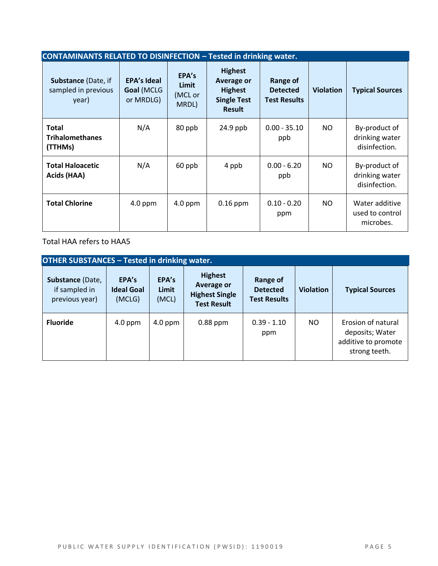| <b>CONTAMINANTS RELATED TO DISINFECTION - Tested in drinking water.</b> |                                               |                                    |                                                                                              |                                                    |                  |                                                  |
|-------------------------------------------------------------------------|-----------------------------------------------|------------------------------------|----------------------------------------------------------------------------------------------|----------------------------------------------------|------------------|--------------------------------------------------|
| Substance (Date, if<br>sampled in previous<br>year)                     | <b>EPA's Ideal</b><br>Goal (MCLG<br>or MRDLG) | EPA's<br>Limit<br>(MCL or<br>MRDL) | <b>Highest</b><br><b>Average or</b><br><b>Highest</b><br><b>Single Test</b><br><b>Result</b> | Range of<br><b>Detected</b><br><b>Test Results</b> | <b>Violation</b> | <b>Typical Sources</b>                           |
| <b>Total</b><br><b>Trihalomethanes</b><br>(TTHMs)                       | N/A                                           | 80 ppb                             | $24.9$ ppb                                                                                   | $0.00 - 35.10$<br>ppb                              | NO.              | By-product of<br>drinking water<br>disinfection. |
| <b>Total Haloacetic</b><br>Acids (HAA)                                  | N/A                                           | 60 ppb                             | 4 ppb                                                                                        | $0.00 - 6.20$<br>ppb                               | NO.              | By-product of<br>drinking water<br>disinfection. |
| <b>Total Chlorine</b>                                                   | $4.0$ ppm                                     | $4.0$ ppm                          | $0.16$ ppm                                                                                   | $0.10 - 0.20$<br>ppm                               | NO.              | Water additive<br>used to control<br>microbes.   |

Total HAA refers to HAA5

| <b>OTHER SUBSTANCES - Tested in drinking water.</b> |                                      |                         |                                                                             |                                                    |                  |                                                                               |
|-----------------------------------------------------|--------------------------------------|-------------------------|-----------------------------------------------------------------------------|----------------------------------------------------|------------------|-------------------------------------------------------------------------------|
| Substance (Date,<br>if sampled in<br>previous year) | EPA's<br><b>Ideal Goal</b><br>(MCLG) | EPA's<br>Limit<br>(MCL) | <b>Highest</b><br>Average or<br><b>Highest Single</b><br><b>Test Result</b> | Range of<br><b>Detected</b><br><b>Test Results</b> | <b>Violation</b> | <b>Typical Sources</b>                                                        |
| <b>Fluoride</b>                                     | $4.0$ ppm                            | $4.0$ ppm               | $0.88$ ppm                                                                  | $0.39 - 1.10$<br>ppm                               | NO.              | Erosion of natural<br>deposits; Water<br>additive to promote<br>strong teeth. |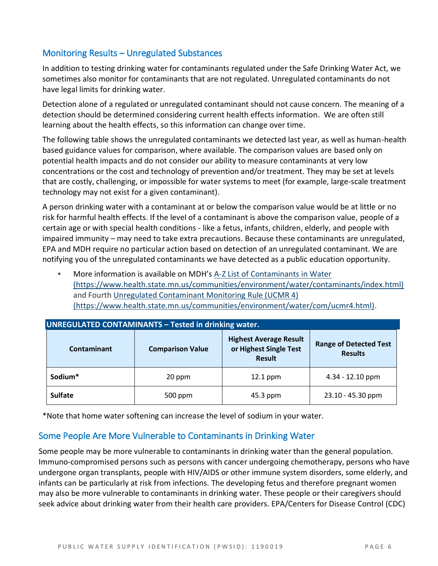## Monitoring Results – Unregulated Substances

In addition to testing drinking water for contaminants regulated under the Safe Drinking Water Act, we sometimes also monitor for contaminants that are not regulated. Unregulated contaminants do not have legal limits for drinking water.

Detection alone of a regulated or unregulated contaminant should not cause concern. The meaning of a detection should be determined considering current health effects information. We are often still learning about the health effects, so this information can change over time.

The following table shows the unregulated contaminants we detected last year, as well as human-health based guidance values for comparison, where available. The comparison values are based only on potential health impacts and do not consider our ability to measure contaminants at very low concentrations or the cost and technology of prevention and/or treatment. They may be set at levels that are costly, challenging, or impossible for water systems to meet (for example, large-scale treatment technology may not exist for a given contaminant).

A person drinking water with a contaminant at or below the comparison value would be at little or no risk for harmful health effects. If the level of a contaminant is above the comparison value, people of a certain age or with special health conditions - like a fetus, infants, children, elderly, and people with impaired immunity – may need to take extra precautions. Because these contaminants are unregulated, EPA and MDH require no particular action based on detection of an unregulated contaminant. We are notifying you of the unregulated contaminants we have detected as a public education opportunity.

More information is available on MDH's A-Z List of Contaminants in Water [\(https://www.health.state.mn.us/communities/environment/water/contaminants/index.html\)](https://www.health.state.mn.us/communities/environment/water/contaminants/index.html) and Fourth [Unregulated Contaminant Monitoring Rule \(UCMR 4\)](https://www.health.state.mn.us/communities/environment/water/com/ucmr4.html)  [\(https://www.health.state.mn.us/communities/environment/water/com/ucmr4.html\).](https://www.health.state.mn.us/communities/environment/water/com/ucmr4.html)

| <u> JUNKEGULATED CONTAMINANTS – TESTEU III UHIKIIIK WATEN.</u> |                         |                                                                          |                                                 |  |  |  |
|----------------------------------------------------------------|-------------------------|--------------------------------------------------------------------------|-------------------------------------------------|--|--|--|
| <b>Contaminant</b>                                             | <b>Comparison Value</b> | <b>Highest Average Result</b><br>or Highest Single Test<br><b>Result</b> | <b>Range of Detected Test</b><br><b>Results</b> |  |  |  |
| Sodium*                                                        | 20 ppm                  | $12.1$ ppm                                                               | $4.34 - 12.10$ ppm                              |  |  |  |
| <b>Sulfate</b>                                                 | 500 ppm                 | 45.3 ppm                                                                 | 23.10 - 45.30 ppm                               |  |  |  |

| UNREGULATED CONTAMINANTS - Tested in drinking water. |
|------------------------------------------------------|
|------------------------------------------------------|

\*Note that home water softening can increase the level of sodium in your water.

## Some People Are More Vulnerable to Contaminants in Drinking Water

Some people may be more vulnerable to contaminants in drinking water than the general population. Immuno-compromised persons such as persons with cancer undergoing chemotherapy, persons who have undergone organ transplants, people with HIV/AIDS or other immune system disorders, some elderly, and infants can be particularly at risk from infections. The developing fetus and therefore pregnant women may also be more vulnerable to contaminants in drinking water. These people or their caregivers should seek advice about drinking water from their health care providers. EPA/Centers for Disease Control (CDC)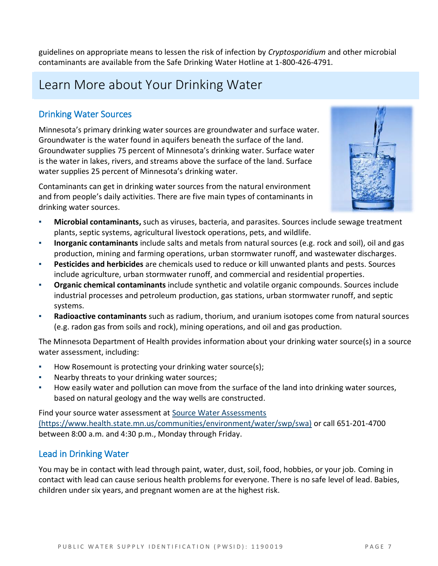guidelines on appropriate means to lessen the risk of infection by *Cryptosporidium* and other microbial contaminants are available from the Safe Drinking Water Hotline at 1-800-426-4791.

# Learn More about Your Drinking Water

## Drinking Water Sources

Minnesota's primary drinking water sources are groundwater and surface water. Groundwater is the water found in aquifers beneath the surface of the land. Groundwater supplies 75 percent of Minnesota's drinking water. Surface water is the water in lakes, rivers, and streams above the surface of the land. Surface water supplies 25 percent of Minnesota's drinking water.

Contaminants can get in drinking water sources from the natural environment and from people's daily activities. There are five main types of contaminants in drinking water sources.



- **Microbial contaminants,** such as viruses, bacteria, and parasites. Sources include sewage treatment plants, septic systems, agricultural livestock operations, pets, and wildlife.
- **Inorganic contaminants** include salts and metals from natural sources (e.g. rock and soil), oil and gas production, mining and farming operations, urban stormwater runoff, and wastewater discharges.
- **Pesticides and herbicides** are chemicals used to reduce or kill unwanted plants and pests. Sources include agriculture, urban stormwater runoff, and commercial and residential properties.
- **Organic chemical contaminants** include synthetic and volatile organic compounds. Sources include industrial processes and petroleum production, gas stations, urban stormwater runoff, and septic systems.
- **Radioactive contaminants** such as radium, thorium, and uranium isotopes come from natural sources (e.g. radon gas from soils and rock), mining operations, and oil and gas production.

The Minnesota Department of Health provides information about your drinking water source(s) in a source water assessment, including:

- How Rosemount is protecting your drinking water source(s);
- Nearby threats to your drinking water sources;
- How easily water and pollution can move from the surface of the land into drinking water sources, based on natural geology and the way wells are constructed.

Find your source water assessment at [Source Water Assessments](https://www.health.state.mn.us/communities/environment/water/swp/swa)  [\(https://www.health.state.mn.us/communities/environment/water/swp/swa\)](https://www.health.state.mn.us/communities/environment/water/swp/swa) or call 651-201-4700 between 8:00 a.m. and 4:30 p.m., Monday through Friday.

## Lead in Drinking Water

You may be in contact with lead through paint, water, dust, soil, food, hobbies, or your job. Coming in contact with lead can cause serious health problems for everyone. There is no safe level of lead. Babies, children under six years, and pregnant women are at the highest risk.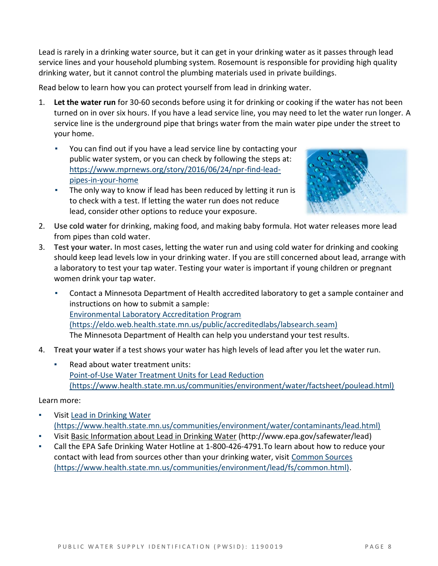Lead is rarely in a drinking water source, but it can get in your drinking water as it passes through lead service lines and your household plumbing system. Rosemount is responsible for providing high quality drinking water, but it cannot control the plumbing materials used in private buildings.

Read below to learn how you can protect yourself from lead in drinking water.

- 1. **Let the water run** for 30-60 seconds before using it for drinking or cooking if the water has not been turned on in over six hours. If you have a lead service line, you may need to let the water run longer. A service line is the underground pipe that brings water from the main water pipe under the street to your home.
	- You can find out if you have a lead service line by contacting your public water system, or you can check by following the steps at: [https://www.mprnews.org/story/2016/06/24/npr-find-lead](https://www.mprnews.org/story/2016/06/24/npr-find-lead-pipes-in-your-home)[pipes-in-your-home](https://www.mprnews.org/story/2016/06/24/npr-find-lead-pipes-in-your-home)
	- The only way to know if lead has been reduced by letting it run is to check with a test. If letting the water run does not reduce lead, consider other options to reduce your exposure.



- 2. **Use cold water** for drinking, making food, and making baby formula. Hot water releases more lead from pipes than cold water.
- 3. **Test your water.** In most cases, letting the water run and using cold water for drinking and cooking should keep lead levels low in your drinking water. If you are still concerned about lead, arrange with a laboratory to test your tap water. Testing your water is important if young children or pregnant women drink your tap water.
	- Contact a Minnesota Department of Health accredited laboratory to get a sample container and instructions on how to submit a sample: [Environmental Laboratory Accreditation Program](https://eldo.web.health.state.mn.us/public/accreditedlabs/labsearch.seam)  [\(https://eldo.web.health.state.mn.us/public/accreditedlabs/labsearch.seam\)](https://eldo.web.health.state.mn.us/public/accreditedlabs/labsearch.seam) The Minnesota Department of Health can help you understand your test results.
- 4. **Treat your water** if a test shows your water has high levels of lead after you let the water run.
	- Read about water treatment units: [Point-of-Use Water Treatment Units for Lead Reduction](https://www.health.state.mn.us/communities/environment/water/factsheet/poulead.html)  [\(https://www.health.state.mn.us/communities/environment/water/factsheet/poulead.html\)](https://www.health.state.mn.us/communities/environment/water/factsheet/poulead.html)

#### Learn more:

- Visit Lead in Drinking Water [\(https://www.health.state.mn.us/communities/environment/water/contaminants/lead.html\)](https://www.health.state.mn.us/communities/environment/water/contaminants/lead.html)
- Visit [Basic Information about Lead in Drinking Water](http://www.epa.gov/safewater/lead) (http://www.epa.gov/safewater/lead)
- Call the EPA Safe Drinking Water Hotline at 1-800-426-4791. To learn about how to reduce your contact with lead from sources other than your drinking water, visit [Common Sources](https://www.health.state.mn.us/communities/environment/lead/fs/common.html)  [\(https://www.health.state.mn.us/communities/environment/lead/fs/common.html\).](https://www.health.state.mn.us/communities/environment/lead/fs/common.html)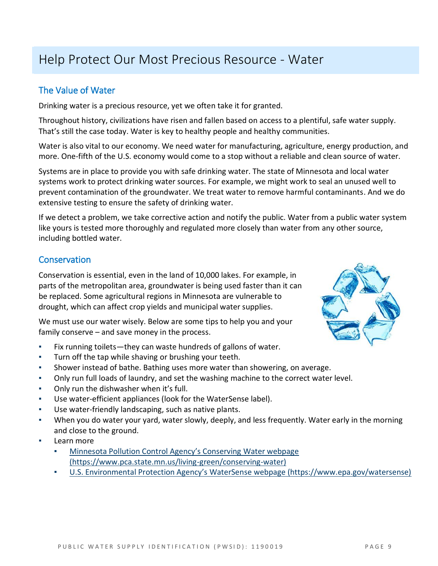# Help Protect Our Most Precious Resource - Water

## The Value of Water

Drinking water is a precious resource, yet we often take it for granted.

Throughout history, civilizations have risen and fallen based on access to a plentiful, safe water supply. That's still the case today. Water is key to healthy people and healthy communities.

Water is also vital to our economy. We need water for manufacturing, agriculture, energy production, and more. One-fifth of the U.S. economy would come to a stop without a reliable and clean source of water.

Systems are in place to provide you with safe drinking water. The state of Minnesota and local water systems work to protect drinking water sources. For example, we might work to seal an unused well to prevent contamination of the groundwater. We treat water to remove harmful contaminants. And we do extensive testing to ensure the safety of drinking water.

If we detect a problem, we take corrective action and notify the public. Water from a public water system like yours is tested more thoroughly and regulated more closely than water from any other source, including bottled water.

## **Conservation**

Conservation is essential, even in the land of 10,000 lakes. For example, in parts of the metropolitan area, groundwater is being used faster than it can be replaced. Some agricultural regions in Minnesota are vulnerable to drought, which can affect crop yields and municipal water supplies.

We must use our water wisely. Below are some tips to help you and your family conserve – and save money in the process.

- Fix running toilets—they can waste hundreds of gallons of water.
- Turn off the tap while shaving or brushing your teeth.
- Shower instead of bathe. Bathing uses more water than showering, on average.
- Only run full loads of laundry, and set the washing machine to the correct water level.
- Only run the dishwasher when it's full.
- Use water-efficient appliances (look for the WaterSense label).
- Use water-friendly landscaping, such as native plants.
- When you do water your yard, water slowly, deeply, and less frequently. Water early in the morning and close to the ground.
- Learn more
	- **Minnesota Pollution Control Agency's Conserving Water webpage** [\(https://www.pca.state.mn.us/living-green/conserving-water\)](https://www.pca.state.mn.us/living-green/conserving-water)
	- [U.S. Environmental Protection Agency's WaterSense webpage \(https://www.epa.gov/watersense\)](https://www.epa.gov/watersense)

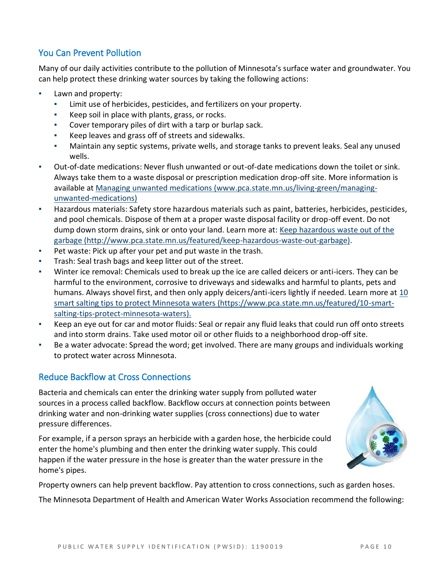## You Can Prevent Pollution

Many of our daily activities contribute to the pollution of Minnesota's surface water and groundwater. You can help protect these drinking water sources by taking the following actions:

- Lawn and property:
	- Limit use of herbicides, pesticides, and fertilizers on your property.
	- Keep soil in place with plants, grass, or rocks.
	- Cover temporary piles of dirt with a tarp or burlap sack.
	- Keep leaves and grass off of streets and sidewalks.
	- Maintain any septic systems, private wells, and storage tanks to prevent leaks. Seal any unused wells.
- Out-of-date medications: Never flush unwanted or out-of-date medications down the toilet or sink. Always take them to a waste disposal or prescription medication drop-off site. More information is available at [Managing unwanted medications \(www.pca.state.mn.us/living-green/managing](http://www.pca.state.mn.us/living-green/managing-unwanted-medications)[unwanted-medications\)](http://www.pca.state.mn.us/living-green/managing-unwanted-medications)
- Hazardous materials: Safety store hazardous materials such as paint, batteries, herbicides, pesticides, and pool chemicals. Dispose of them at a proper waste disposal facility or drop-off event. Do not dump down storm drains, sink or onto your land. Learn more at: [Keep hazardous waste out of the](http://www.pca.state.mn.us/featured/keep-hazardous-waste-out-garbage)  [garbage \(http://www.pca.state.mn.us/featured/keep-hazardous-waste-out-garbage\).](http://www.pca.state.mn.us/featured/keep-hazardous-waste-out-garbage)
- Pet waste: Pick up after your pet and put waste in the trash.
- Trash: Seal trash bags and keep litter out of the street.
- Winter ice removal: Chemicals used to break up the ice are called deicers or anti-icers. They can be harmful to the environment, corrosive to driveways and sidewalks and harmful to plants, pets and humans. Always shovel first, and then only apply deicers/anti-icers lightly if needed. Learn more at [10](https://www.pca.state.mn.us/featured/10-smart-salting-tips-protect-minnesota-waters)  [smart salting tips to protect Minnesota waters \(https://www.pca.state.mn.us/featured/10-smart](https://www.pca.state.mn.us/featured/10-smart-salting-tips-protect-minnesota-waters)[salting-tips-protect-minnesota-waters\).](https://www.pca.state.mn.us/featured/10-smart-salting-tips-protect-minnesota-waters)
- Keep an eye out for car and motor fluids: Seal or repair any fluid leaks that could run off onto streets and into storm drains. Take used motor oil or other fluids to a neighborhood drop-off site.
- Be a water advocate: Spread the word; get involved. There are many groups and individuals working to protect water across Minnesota.

## Reduce Backflow at Cross Connections

Bacteria and chemicals can enter the drinking water supply from polluted water sources in a process called backflow. Backflow occurs at connection points between drinking water and non-drinking water supplies (cross connections) due to water pressure differences.

For example, if a person sprays an herbicide with a garden hose, the herbicide could enter the home's plumbing and then enter the drinking water supply. This could happen if the water pressure in the hose is greater than the water pressure in the home's pipes.

Property owners can help prevent backflow. Pay attention to cross connections, such as garden hoses.

The Minnesota Department of Health and American Water Works Association recommend the following: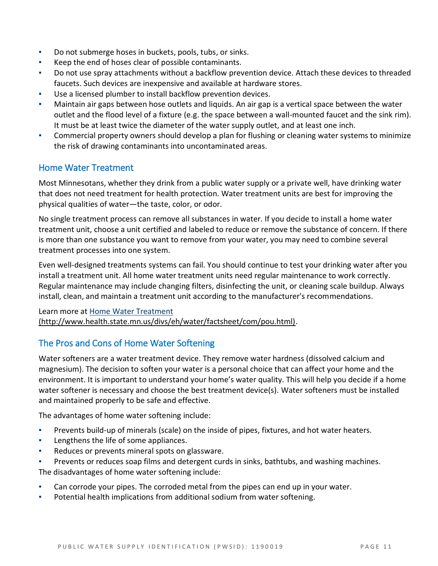- Do not submerge hoses in buckets, pools, tubs, or sinks.
- Keep the end of hoses clear of possible contaminants.
- Do not use spray attachments without a backflow prevention device. Attach these devices to threaded faucets. Such devices are inexpensive and available at hardware stores.
- Use a licensed plumber to install backflow prevention devices.
- Maintain air gaps between hose outlets and liquids. An air gap is a vertical space between the water outlet and the flood level of a fixture (e.g. the space between a wall-mounted faucet and the sink rim). It must be at least twice the diameter of the water supply outlet, and at least one inch.
- Commercial property owners should develop a plan for flushing or cleaning water systems to minimize the risk of drawing contaminants into uncontaminated areas.

## Home Water Treatment

Most Minnesotans, whether they drink from a public water supply or a private well, have drinking water that does not need treatment for health protection. Water treatment units are best for improving the physical qualities of water—the taste, color, or odor.

No single treatment process can remove all substances in water. If you decide to install a home water treatment unit, choose a unit certified and labeled to reduce or remove the substance of concern. If there is more than one substance you want to remove from your water, you may need to combine several treatment processes into one system.

Even well-designed treatments systems can fail. You should continue to test your drinking water after you install a treatment unit. All home water treatment units need regular maintenance to work correctly. Regular maintenance may include changing filters, disinfecting the unit, or cleaning scale buildup. Always install, clean, and maintain a treatment unit according to the manufacturer's recommendations.

#### Learn more at [Home Water Treatment](http://www.health.state.mn.us/divs/eh/water/factsheet/com/pou.html)  [\(http://www.health.state.mn.us/divs/eh/water/factsheet/com/pou.html\).](http://www.health.state.mn.us/divs/eh/water/factsheet/com/pou.html)

## The Pros and Cons of Home Water Softening

Water softeners are a water treatment device. They remove water hardness (dissolved calcium and magnesium). The decision to soften your water is a personal choice that can affect your home and the environment. It is important to understand your home's water quality. This will help you decide if a home water softener is necessary and choose the best treatment device(s). Water softeners must be installed and maintained properly to be safe and effective.

The advantages of home water softening include:

- Prevents build-up of minerals (scale) on the inside of pipes, fixtures, and hot water heaters.
- Lengthens the life of some appliances.
- Reduces or prevents mineral spots on glassware.
- Prevents or reduces soap films and detergent curds in sinks, bathtubs, and washing machines. The disadvantages of home water softening include:
- Can corrode your pipes. The corroded metal from the pipes can end up in your water.
- Potential health implications from additional sodium from water softening.